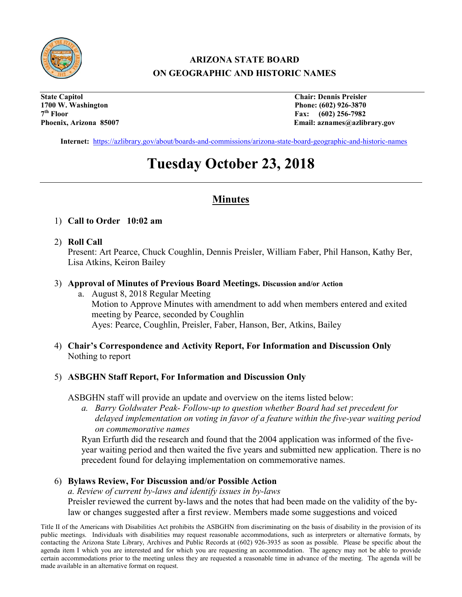

## **ARIZONA STATE BOARD ON GEOGRAPHIC AND HISTORIC NAMES**

**State Capitol Chair: Dennis Preisler 1700 W. Washington Phone: (602) 926-3870 7th Floor Fax: (602) 256-7982**

Email: aznames@azlibrary.gov

**Internet:** <https://azlibrary.gov/about/boards-and-commissions/arizona-state-board-geographic-and-historic-names>

# **Tuesday October 23, 2018**

### **Minutes**

- 1) **Call to Order 10:02 am**
- 2) **Roll Call**

Present: Art Pearce, Chuck Coughlin, Dennis Preisler, William Faber, Phil Hanson, Kathy Ber, Lisa Atkins, Keiron Bailey

- 3) **Approval of Minutes of Previous Board Meetings. Discussion and/or Action** 
	- a. August 8, 2018 Regular Meeting Motion to Approve Minutes with amendment to add when members entered and exited meeting by Pearce, seconded by Coughlin Ayes: Pearce, Coughlin, Preisler, Faber, Hanson, Ber, Atkins, Bailey
- 4) **Chair's Correspondence and Activity Report, For Information and Discussion Only**  Nothing to report

#### 5) **ASBGHN Staff Report, For Information and Discussion Only**

ASBGHN staff will provide an update and overview on the items listed below:

*a. Barry Goldwater Peak- Follow-up to question whether Board had set precedent for delayed implementation on voting in favor of a feature within the five-year waiting period on commemorative names*

Ryan Erfurth did the research and found that the 2004 application was informed of the fiveyear waiting period and then waited the five years and submitted new application. There is no precedent found for delaying implementation on commemorative names.

#### 6) **Bylaws Review, For Discussion and/or Possible Action**

*a. Review of current by-laws and identify issues in by-laws* Preisler reviewed the current by-laws and the notes that had been made on the validity of the bylaw or changes suggested after a first review. Members made some suggestions and voiced

Title II of the Americans with Disabilities Act prohibits the ASBGHN from discriminating on the basis of disability in the provision of its public meetings. Individuals with disabilities may request reasonable accommodations, such as interpreters or alternative formats, by contacting the Arizona State Library, Archives and Public Records at (602) 926-3935 as soon as possible. Please be specific about the agenda item I which you are interested and for which you are requesting an accommodation. The agency may not be able to provide certain accommodations prior to the meeting unless they are requested a reasonable time in advance of the meeting. The agenda will be made available in an alternative format on request.